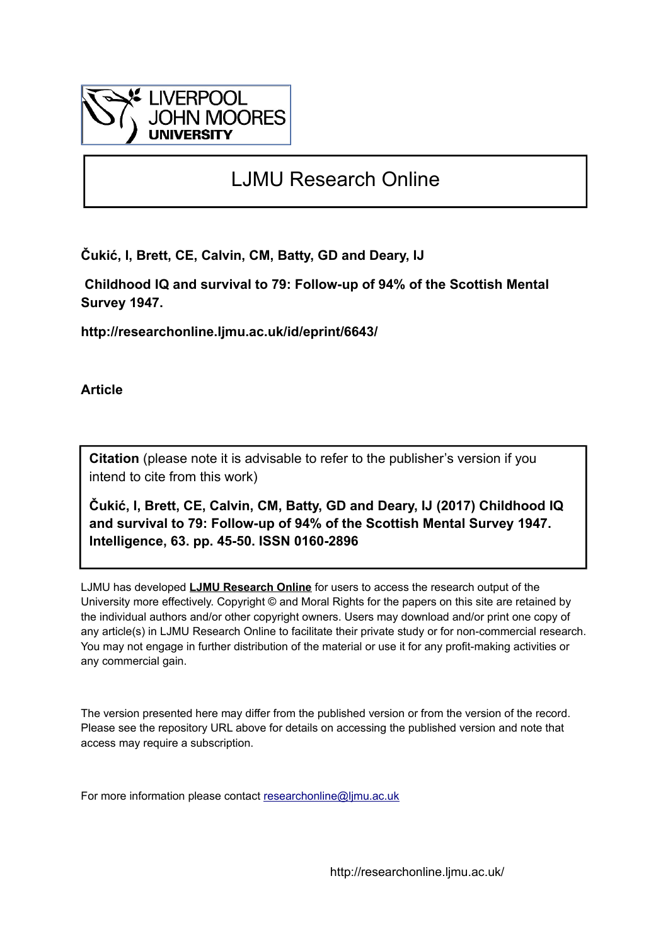

# LJMU Research Online

**Čukić, I, Brett, CE, Calvin, CM, Batty, GD and Deary, IJ**

 **Childhood IQ and survival to 79: Follow-up of 94% of the Scottish Mental Survey 1947.**

**http://researchonline.ljmu.ac.uk/id/eprint/6643/**

**Article**

**Citation** (please note it is advisable to refer to the publisher's version if you intend to cite from this work)

**Čukić, I, Brett, CE, Calvin, CM, Batty, GD and Deary, IJ (2017) Childhood IQ and survival to 79: Follow-up of 94% of the Scottish Mental Survey 1947. Intelligence, 63. pp. 45-50. ISSN 0160-2896** 

LJMU has developed **[LJMU Research Online](http://researchonline.ljmu.ac.uk/)** for users to access the research output of the University more effectively. Copyright © and Moral Rights for the papers on this site are retained by the individual authors and/or other copyright owners. Users may download and/or print one copy of any article(s) in LJMU Research Online to facilitate their private study or for non-commercial research. You may not engage in further distribution of the material or use it for any profit-making activities or any commercial gain.

The version presented here may differ from the published version or from the version of the record. Please see the repository URL above for details on accessing the published version and note that access may require a subscription.

For more information please contact [researchonline@ljmu.ac.uk](mailto:researchonline@ljmu.ac.uk)

http://researchonline.ljmu.ac.uk/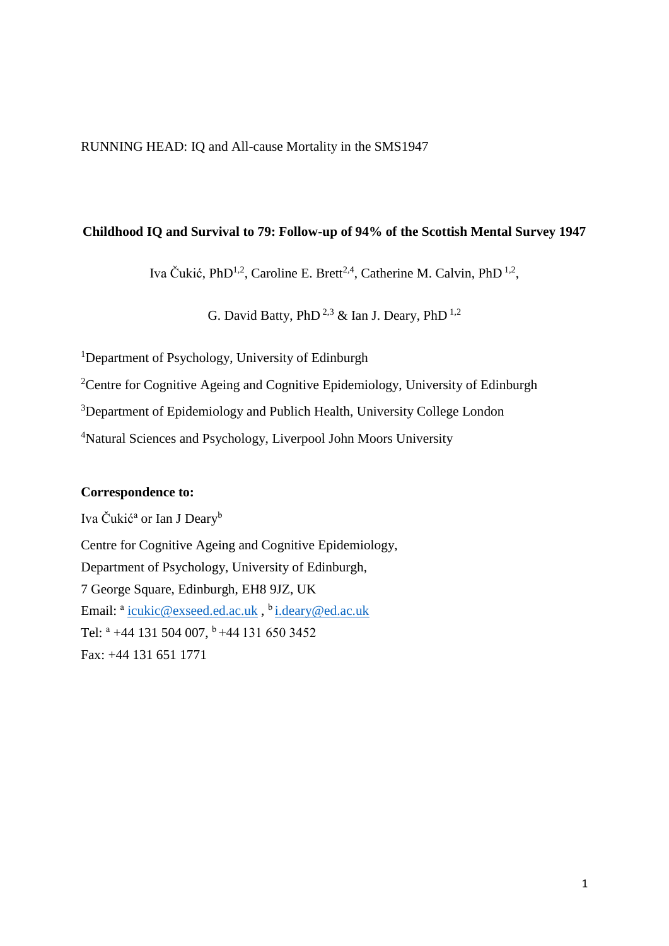RUNNING HEAD: IQ and All-cause Mortality in the SMS1947

## **Childhood IQ and Survival to 79: Follow-up of 94% of the Scottish Mental Survey 1947**

Iva Čukić, PhD<sup>1,2</sup>, Caroline E. Brett<sup>2,4</sup>, Catherine M. Calvin, PhD<sup>1,2</sup>,

G. David Batty, PhD<sup>2,3</sup> & Ian J. Deary, PhD<sup>1,2</sup>

<sup>1</sup>Department of Psychology, University of Edinburgh

<sup>2</sup>Centre for Cognitive Ageing and Cognitive Epidemiology, University of Edinburgh

<sup>3</sup>Department of Epidemiology and Publich Health, University College London

<sup>4</sup>Natural Sciences and Psychology, Liverpool John Moors University

## **Correspondence to:**

Iva Čukić<sup>a</sup> or Ian J Deary<sup>b</sup>

Centre for Cognitive Ageing and Cognitive Epidemiology, Department of Psychology, University of Edinburgh, 7 George Square, Edinburgh, EH8 9JZ, UK Email: <sup>a</sup> <u>[icukic@exseed.ed.ac.uk](mailto:icukic@exseed.ed.ac.uk)</u> , <sup>b</sup> <u>[i.deary@ed.ac.uk](mailto:i.deary@ed.ac.uk)</u> Tel:  $a +44$  131 504 007,  $b +44$  131 650 3452 Fax: +44 131 651 1771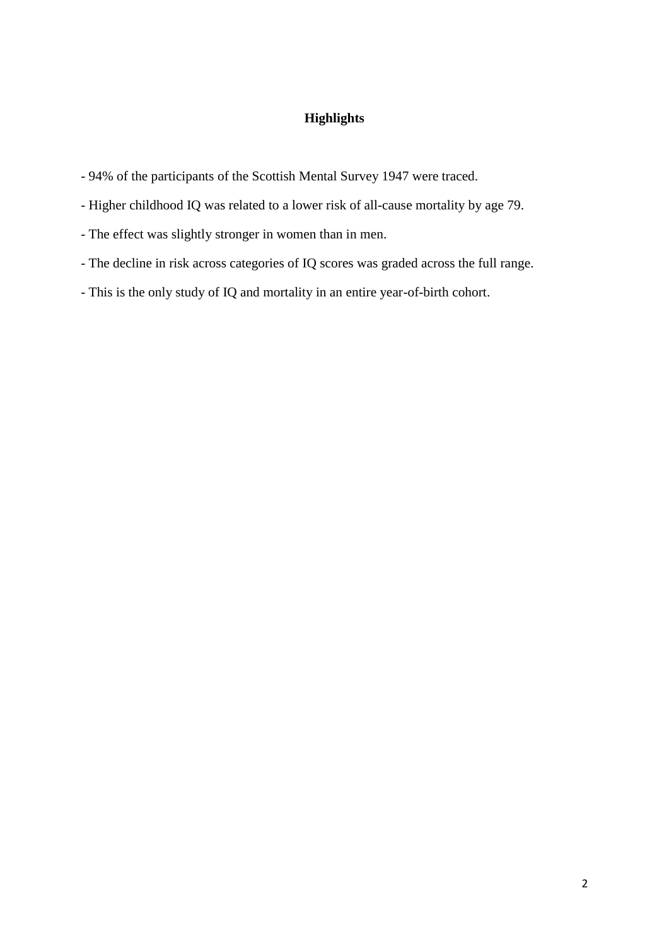# **Highlights**

- 94% of the participants of the Scottish Mental Survey 1947 were traced.
- Higher childhood IQ was related to a lower risk of all-cause mortality by age 79.
- The effect was slightly stronger in women than in men.
- The decline in risk across categories of IQ scores was graded across the full range.
- This is the only study of IQ and mortality in an entire year-of-birth cohort.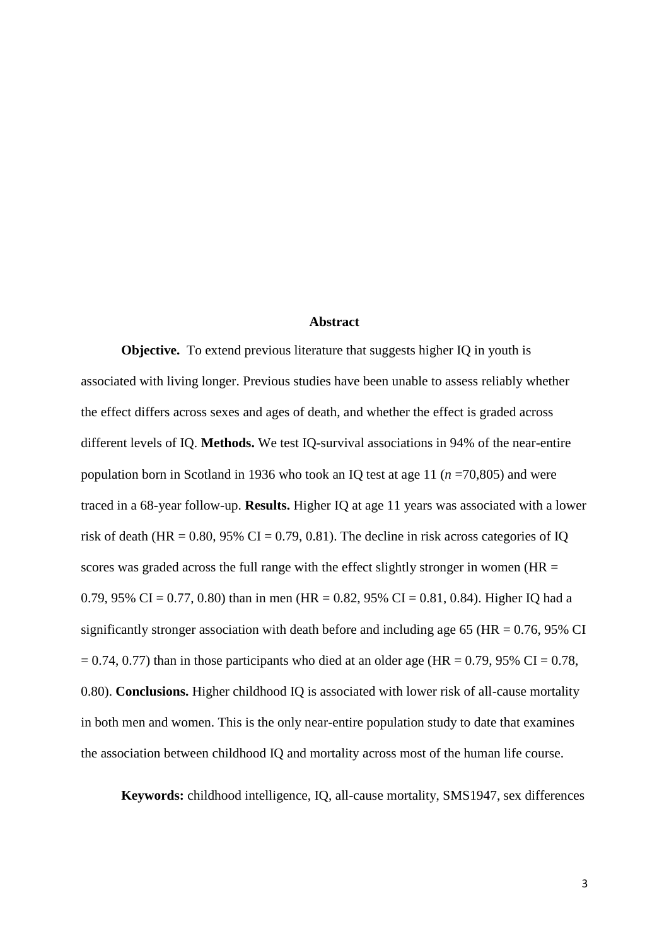#### **Abstract**

**Objective.** To extend previous literature that suggests higher IQ in youth is associated with living longer. Previous studies have been unable to assess reliably whether the effect differs across sexes and ages of death, and whether the effect is graded across different levels of IQ. **Methods.** We test IQ-survival associations in 94% of the near-entire population born in Scotland in 1936 who took an IQ test at age 11 (*n* =70,805) and were traced in a 68-year follow-up. **Results.** Higher IQ at age 11 years was associated with a lower risk of death (HR =  $0.80$ ,  $95\%$  CI =  $0.79$ ,  $0.81$ ). The decline in risk across categories of IQ scores was graded across the full range with the effect slightly stronger in women ( $HR =$ 0.79, 95% CI = 0.77, 0.80) than in men (HR = 0.82, 95% CI = 0.81, 0.84). Higher IQ had a significantly stronger association with death before and including age 65 ( $HR = 0.76$ , 95% CI  $= 0.74$ , 0.77) than in those participants who died at an older age (HR = 0.79, 95% CI = 0.78, 0.80). **Conclusions.** Higher childhood IQ is associated with lower risk of all-cause mortality in both men and women. This is the only near-entire population study to date that examines the association between childhood IQ and mortality across most of the human life course.

**Keywords:** childhood intelligence, IQ, all-cause mortality, SMS1947, sex differences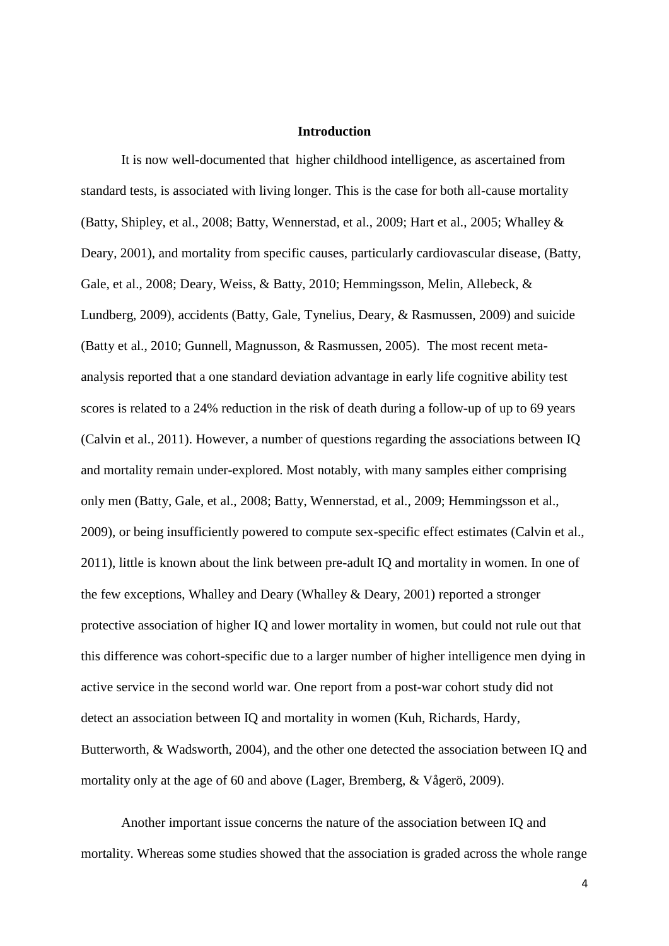### **Introduction**

It is now well-documented that higher childhood intelligence, as ascertained from standard tests, is associated with living longer. This is the case for both all-cause mortality (Batty, Shipley, et al., 2008; Batty, Wennerstad, et al., 2009; Hart et al., 2005; Whalley & Deary, 2001), and mortality from specific causes, particularly cardiovascular disease, (Batty, Gale, et al., 2008; Deary, Weiss, & Batty, 2010; Hemmingsson, Melin, Allebeck, & Lundberg, 2009), accidents (Batty, Gale, Tynelius, Deary, & Rasmussen, 2009) and suicide (Batty et al., 2010; Gunnell, Magnusson, & Rasmussen, 2005). The most recent metaanalysis reported that a one standard deviation advantage in early life cognitive ability test scores is related to a 24% reduction in the risk of death during a follow-up of up to 69 years (Calvin et al., 2011). However, a number of questions regarding the associations between IQ and mortality remain under-explored. Most notably, with many samples either comprising only men (Batty, Gale, et al., 2008; Batty, Wennerstad, et al., 2009; Hemmingsson et al., 2009), or being insufficiently powered to compute sex-specific effect estimates (Calvin et al., 2011), little is known about the link between pre-adult IQ and mortality in women. In one of the few exceptions, Whalley and Deary (Whalley & Deary, 2001) reported a stronger protective association of higher IQ and lower mortality in women, but could not rule out that this difference was cohort-specific due to a larger number of higher intelligence men dying in active service in the second world war. One report from a post-war cohort study did not detect an association between IQ and mortality in women (Kuh, Richards, Hardy, Butterworth, & Wadsworth, 2004), and the other one detected the association between IQ and mortality only at the age of 60 and above (Lager, Bremberg, & Vågerö, 2009).

Another important issue concerns the nature of the association between IQ and mortality. Whereas some studies showed that the association is graded across the whole range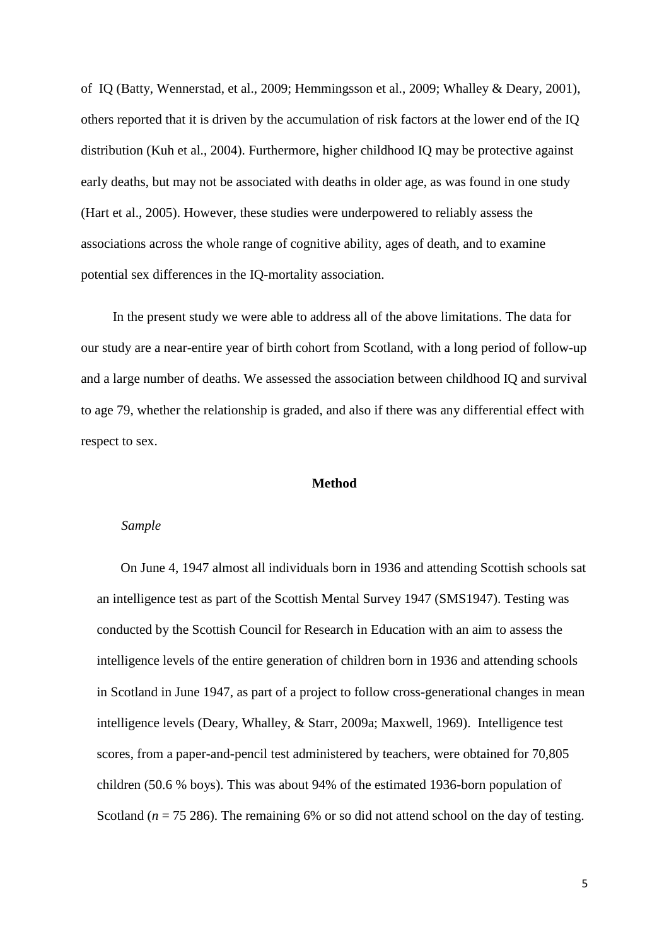of IQ (Batty, Wennerstad, et al., 2009; Hemmingsson et al., 2009; Whalley & Deary, 2001), others reported that it is driven by the accumulation of risk factors at the lower end of the IQ distribution (Kuh et al., 2004). Furthermore, higher childhood IQ may be protective against early deaths, but may not be associated with deaths in older age, as was found in one study (Hart et al., 2005). However, these studies were underpowered to reliably assess the associations across the whole range of cognitive ability, ages of death, and to examine potential sex differences in the IQ-mortality association.

In the present study we were able to address all of the above limitations. The data for our study are a near-entire year of birth cohort from Scotland, with a long period of follow-up and a large number of deaths. We assessed the association between childhood IQ and survival to age 79, whether the relationship is graded, and also if there was any differential effect with respect to sex.

#### **Method**

#### *Sample*

On June 4, 1947 almost all individuals born in 1936 and attending Scottish schools sat an intelligence test as part of the Scottish Mental Survey 1947 (SMS1947). Testing was conducted by the Scottish Council for Research in Education with an aim to assess the intelligence levels of the entire generation of children born in 1936 and attending schools in Scotland in June 1947, as part of a project to follow cross-generational changes in mean intelligence levels (Deary, Whalley, & Starr, 2009a; Maxwell, 1969). Intelligence test scores, from a paper-and-pencil test administered by teachers, were obtained for 70,805 children (50.6 % boys). This was about 94% of the estimated 1936-born population of Scotland ( $n = 75286$ ). The remaining 6% or so did not attend school on the day of testing.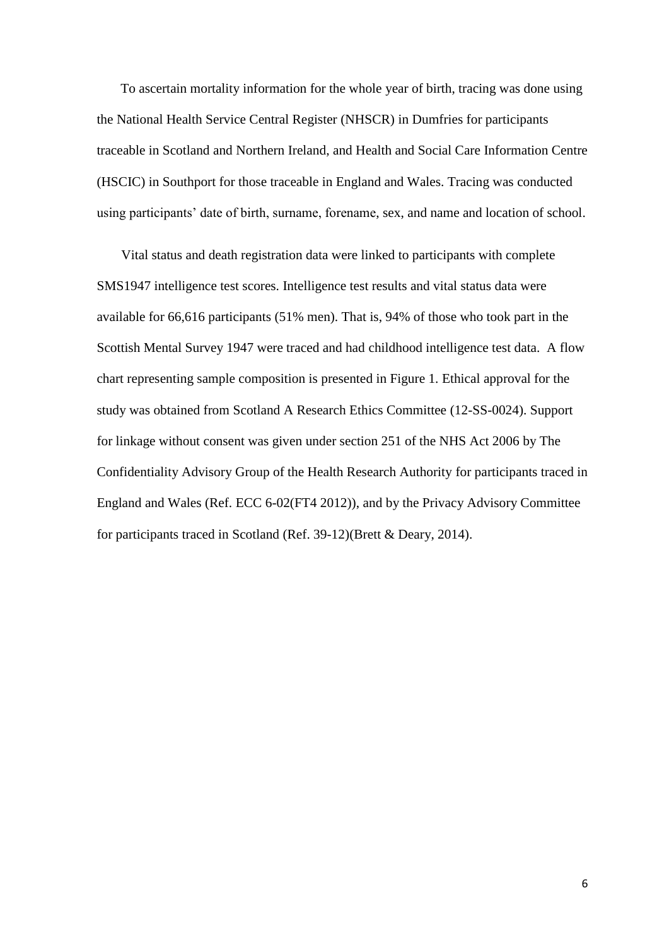To ascertain mortality information for the whole year of birth, tracing was done using the National Health Service Central Register (NHSCR) in Dumfries for participants traceable in Scotland and Northern Ireland, and Health and Social Care Information Centre (HSCIC) in Southport for those traceable in England and Wales. Tracing was conducted using participants' date of birth, surname, forename, sex, and name and location of school.

Vital status and death registration data were linked to participants with complete SMS1947 intelligence test scores. Intelligence test results and vital status data were available for 66,616 participants (51% men). That is, 94% of those who took part in the Scottish Mental Survey 1947 were traced and had childhood intelligence test data. A flow chart representing sample composition is presented in Figure 1. Ethical approval for the study was obtained from Scotland A Research Ethics Committee (12-SS-0024). Support for linkage without consent was given under section 251 of the NHS Act 2006 by The Confidentiality Advisory Group of the Health Research Authority for participants traced in England and Wales (Ref. ECC 6-02(FT4 2012)), and by the Privacy Advisory Committee for participants traced in Scotland (Ref. 39-12)(Brett & Deary, 2014).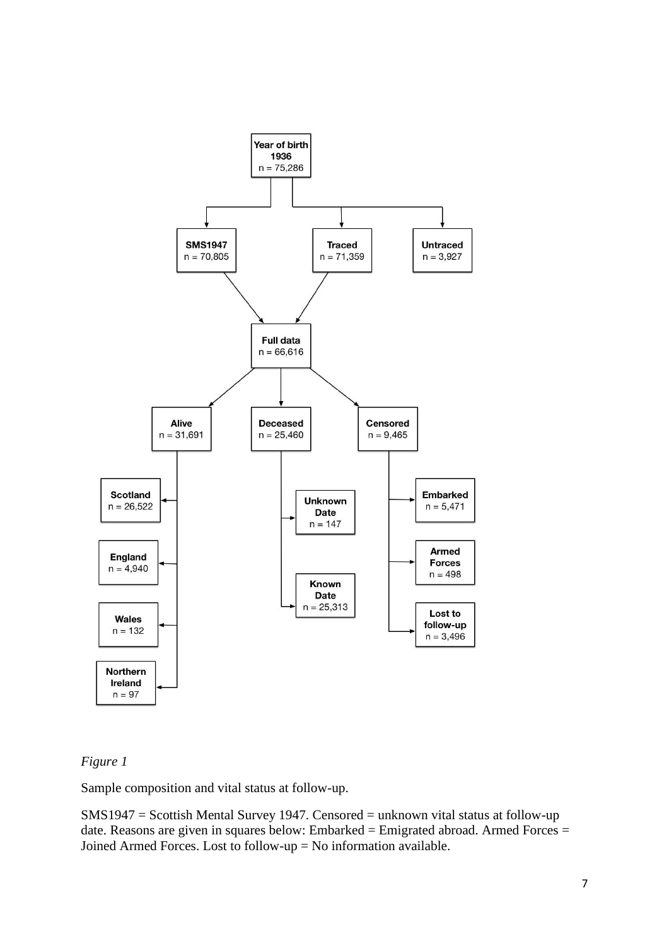

# *Figure 1*

Sample composition and vital status at follow-up.

SMS1947 = Scottish Mental Survey 1947. Censored = unknown vital status at follow-up date. Reasons are given in squares below: Embarked = Emigrated abroad. Armed Forces = Joined Armed Forces. Lost to follow-up = No information available.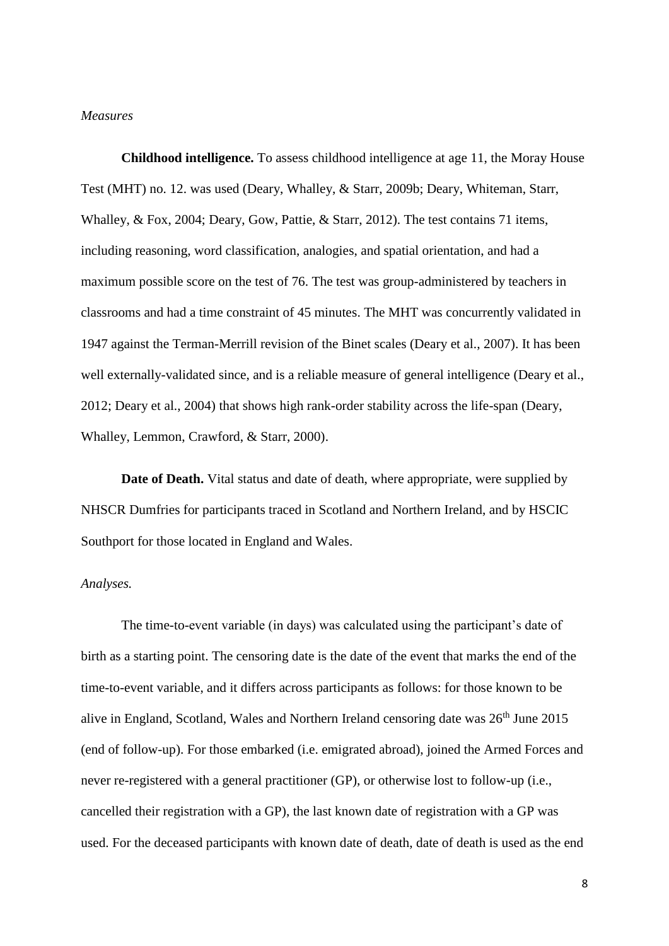### *Measures*

**Childhood intelligence.** To assess childhood intelligence at age 11, the Moray House Test (MHT) no. 12. was used (Deary, Whalley, & Starr, 2009b; Deary, Whiteman, Starr, Whalley, & Fox, 2004; Deary, Gow, Pattie, & Starr, 2012). The test contains 71 items, including reasoning, word classification, analogies, and spatial orientation, and had a maximum possible score on the test of 76. The test was group-administered by teachers in classrooms and had a time constraint of 45 minutes. The MHT was concurrently validated in 1947 against the Terman-Merrill revision of the Binet scales (Deary et al., 2007). It has been well externally-validated since, and is a reliable measure of general intelligence (Deary et al., 2012; Deary et al., 2004) that shows high rank-order stability across the life-span (Deary, Whalley, Lemmon, Crawford, & Starr, 2000).

**Date of Death.** Vital status and date of death, where appropriate, were supplied by NHSCR Dumfries for participants traced in Scotland and Northern Ireland, and by HSCIC Southport for those located in England and Wales.

### *Analyses.*

The time-to-event variable (in days) was calculated using the participant's date of birth as a starting point. The censoring date is the date of the event that marks the end of the time-to-event variable, and it differs across participants as follows: for those known to be alive in England, Scotland, Wales and Northern Ireland censoring date was  $26<sup>th</sup>$  June 2015 (end of follow-up). For those embarked (i.e. emigrated abroad), joined the Armed Forces and never re-registered with a general practitioner (GP), or otherwise lost to follow-up (i.e., cancelled their registration with a GP), the last known date of registration with a GP was used. For the deceased participants with known date of death, date of death is used as the end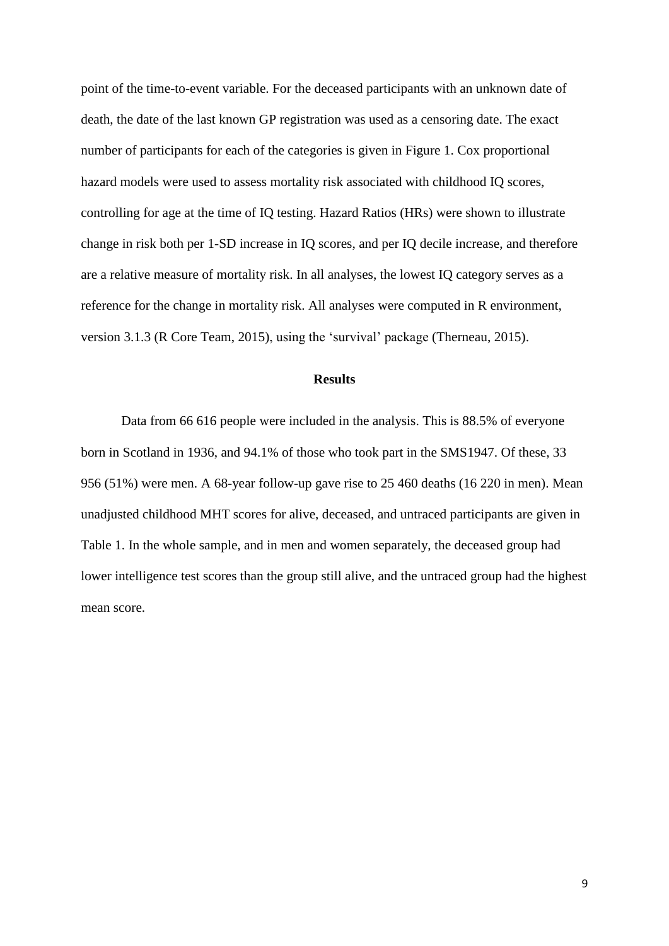point of the time-to-event variable. For the deceased participants with an unknown date of death, the date of the last known GP registration was used as a censoring date. The exact number of participants for each of the categories is given in Figure 1. Cox proportional hazard models were used to assess mortality risk associated with childhood IQ scores, controlling for age at the time of IQ testing. Hazard Ratios (HRs) were shown to illustrate change in risk both per 1-SD increase in IQ scores, and per IQ decile increase, and therefore are a relative measure of mortality risk. In all analyses, the lowest IQ category serves as a reference for the change in mortality risk. All analyses were computed in R environment, version 3.1.3 (R Core Team, 2015), using the 'survival' package (Therneau, 2015).

### **Results**

Data from 66 616 people were included in the analysis. This is 88.5% of everyone born in Scotland in 1936, and 94.1% of those who took part in the SMS1947. Of these, 33 956 (51%) were men. A 68-year follow-up gave rise to 25 460 deaths (16 220 in men). Mean unadjusted childhood MHT scores for alive, deceased, and untraced participants are given in Table 1. In the whole sample, and in men and women separately, the deceased group had lower intelligence test scores than the group still alive, and the untraced group had the highest mean score.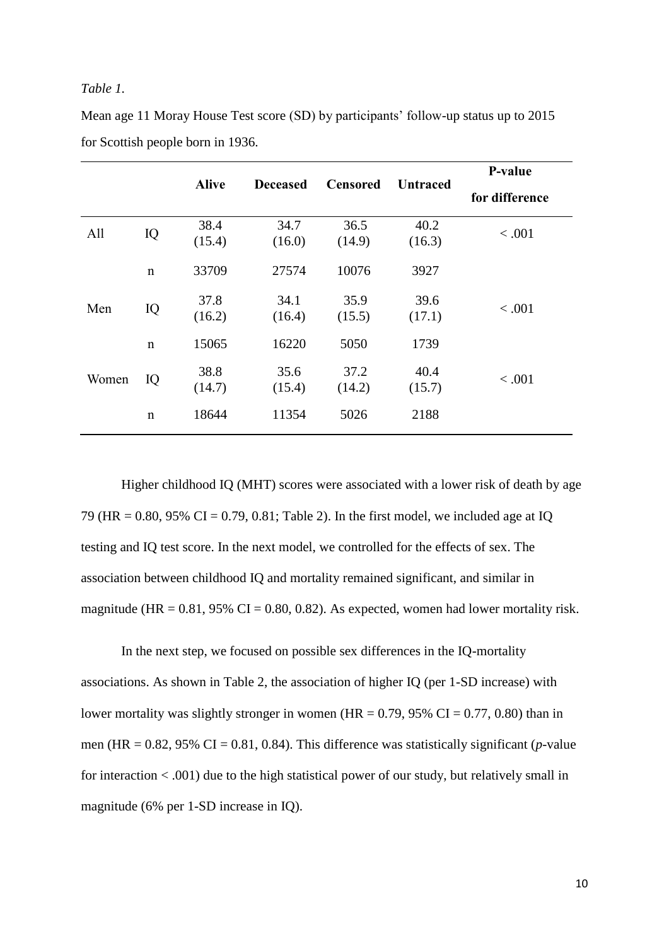#### *Table 1.*

| Mean age 11 Moray House Test score (SD) by participants' follow-up status up to 2015 |  |
|--------------------------------------------------------------------------------------|--|
| for Scottish people born in 1936.                                                    |  |

|       |             |                | <b>Deceased</b> | <b>Censored</b> | <b>Untraced</b> | P-value        |  |
|-------|-------------|----------------|-----------------|-----------------|-----------------|----------------|--|
|       |             | <b>Alive</b>   |                 |                 |                 | for difference |  |
| All   | IQ          | 38.4<br>(15.4) | 34.7<br>(16.0)  | 36.5<br>(14.9)  | 40.2<br>(16.3)  | < .001         |  |
|       | $\mathbf n$ | 33709          | 27574           | 10076           | 3927            |                |  |
| Men   | IQ          | 37.8<br>(16.2) | 34.1<br>(16.4)  | 35.9<br>(15.5)  | 39.6<br>(17.1)  | < .001         |  |
|       | $\mathbf n$ | 15065          | 16220           | 5050            | 1739            |                |  |
| Women | IQ          | 38.8<br>(14.7) | 35.6<br>(15.4)  | 37.2<br>(14.2)  | 40.4<br>(15.7)  | < .001         |  |
|       | $\mathbf n$ | 18644          | 11354           | 5026            | 2188            |                |  |

Higher childhood IQ (MHT) scores were associated with a lower risk of death by age 79 (HR = 0.80, 95% CI = 0.79, 0.81; Table 2). In the first model, we included age at IQ testing and IQ test score. In the next model, we controlled for the effects of sex. The association between childhood IQ and mortality remained significant, and similar in magnitude (HR =  $0.81$ , 95% CI =  $0.80$ , 0.82). As expected, women had lower mortality risk.

In the next step, we focused on possible sex differences in the IQ-mortality associations. As shown in Table 2, the association of higher IQ (per 1-SD increase) with lower mortality was slightly stronger in women (HR =  $0.79$ ,  $95\%$  CI =  $0.77$ ,  $0.80$ ) than in men (HR =  $0.82$ , 95% CI =  $0.81$ , 0.84). This difference was statistically significant (*p*-value for interaction < .001) due to the high statistical power of our study, but relatively small in magnitude (6% per 1-SD increase in IQ).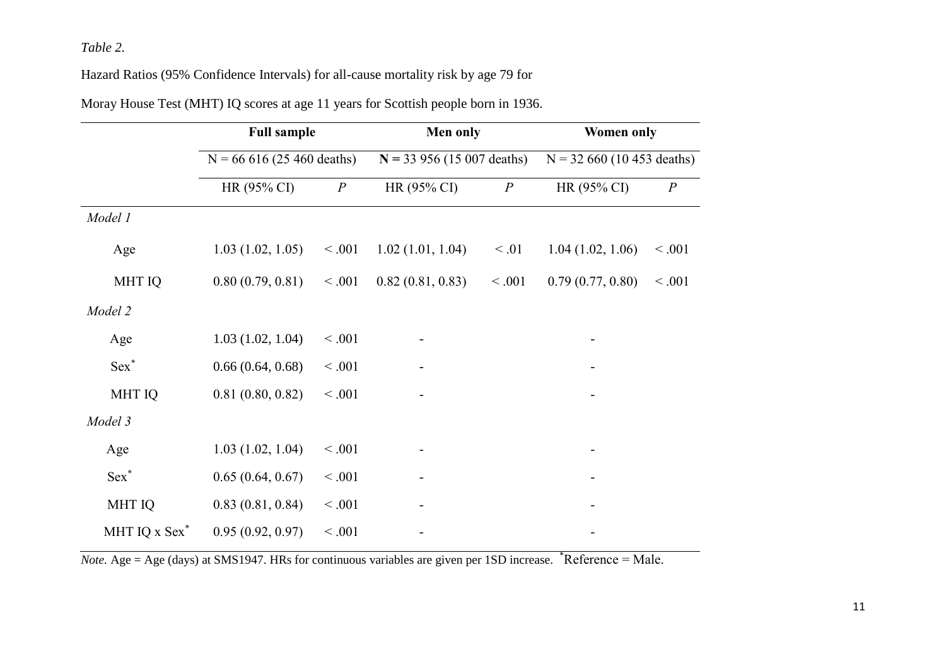# *Table 2.*

Hazard Ratios (95% Confidence Intervals) for all-cause mortality risk by age 79 for

|                  | <b>Full sample</b><br>$N = 66616(25460$ deaths) |                  | Men only<br>$N = 33956(15007 \text{ deaths})$ |                  | <b>Women only</b><br>$N = 32,660, (10,453, ^{\circ}$ deaths) |                  |
|------------------|-------------------------------------------------|------------------|-----------------------------------------------|------------------|--------------------------------------------------------------|------------------|
|                  |                                                 |                  |                                               |                  |                                                              |                  |
|                  | HR (95% CI)                                     | $\boldsymbol{P}$ | HR (95% CI)                                   | $\boldsymbol{P}$ | HR (95% CI)                                                  | $\boldsymbol{P}$ |
| Model 1          |                                                 |                  |                                               |                  |                                                              |                  |
| Age              | 1.03(1.02, 1.05)                                | < 0.001          | 1.02(1.01, 1.04)                              | $\leq .01$       | 1.04(1.02, 1.06)                                             | < 0.001          |
| <b>MHT IQ</b>    | 0.80(0.79, 0.81)                                | < 0.001          | 0.82(0.81, 0.83)                              | < 0.001          | 0.79(0.77, 0.80)                                             | < 0.001          |
| Model 2          |                                                 |                  |                                               |                  |                                                              |                  |
| Age              | 1.03(1.02, 1.04)                                | < 0.001          |                                               |                  |                                                              |                  |
| Sex <sup>*</sup> | 0.66(0.64, 0.68)                                | < 0.001          |                                               |                  |                                                              |                  |
| <b>MHT IQ</b>    | 0.81(0.80, 0.82)                                | < 0.001          |                                               |                  |                                                              |                  |
| Model 3          |                                                 |                  |                                               |                  |                                                              |                  |
| Age              | 1.03(1.02, 1.04)                                | < 0.001          |                                               |                  |                                                              |                  |
| $Sex^*$          | 0.65(0.64, 0.67)                                | < 0.001          |                                               |                  |                                                              |                  |
| <b>MHT IQ</b>    | 0.83(0.81, 0.84)                                | < 0.001          |                                               |                  |                                                              |                  |
| MHT IQ x Sex*    | 0.95(0.92, 0.97)                                | < 0.001          |                                               |                  |                                                              |                  |

Moray House Test (MHT) IQ scores at age 11 years for Scottish people born in 1936.

*Note.* Age = Age (days) at SMS1947. HRs for continuous variables are given per 1SD increase. \*Reference = Male.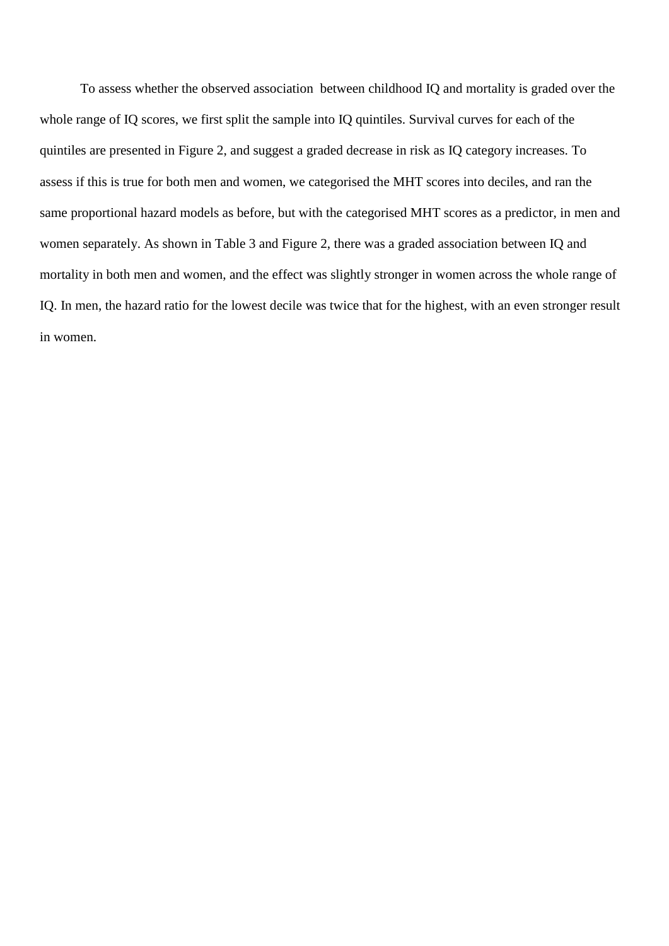To assess whether the observed association between childhood IQ and mortality is graded over the whole range of IQ scores, we first split the sample into IQ quintiles. Survival curves for each of the quintiles are presented in Figure 2, and suggest a graded decrease in risk as IQ category increases. To assess if this is true for both men and women, we categorised the MHT scores into deciles, and ran the same proportional hazard models as before, but with the categorised MHT scores as a predictor, in men and women separately. As shown in Table 3 and Figure 2, there was a graded association between IQ and mortality in both men and women, and the effect was slightly stronger in women across the whole range of IQ. In men, the hazard ratio for the lowest decile was twice that for the highest, with an even stronger result in women.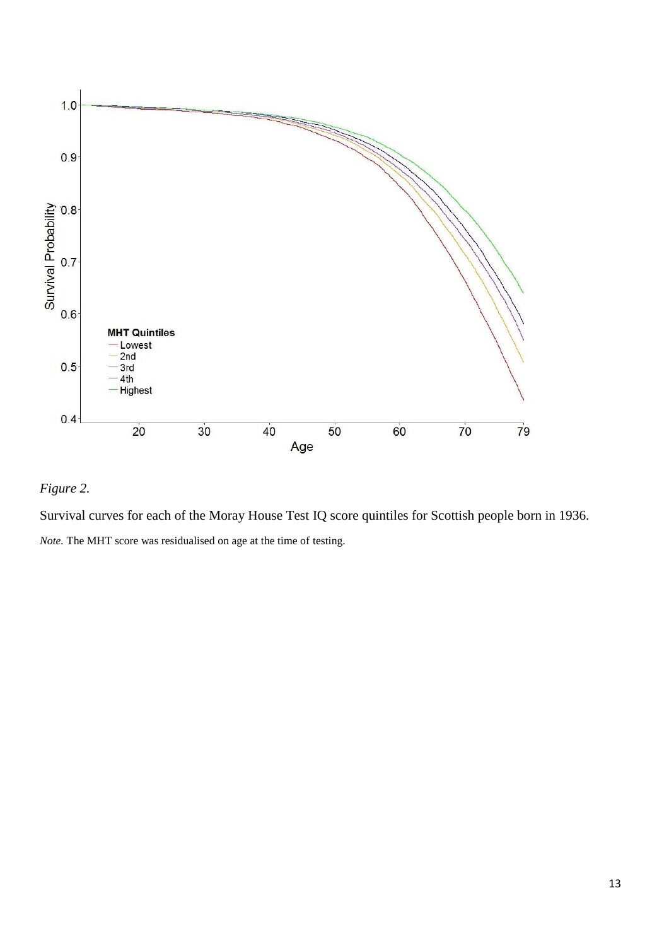

# *Figure 2.*

Survival curves for each of the Moray House Test IQ score quintiles for Scottish people born in 1936. *Note.* The MHT score was residualised on age at the time of testing.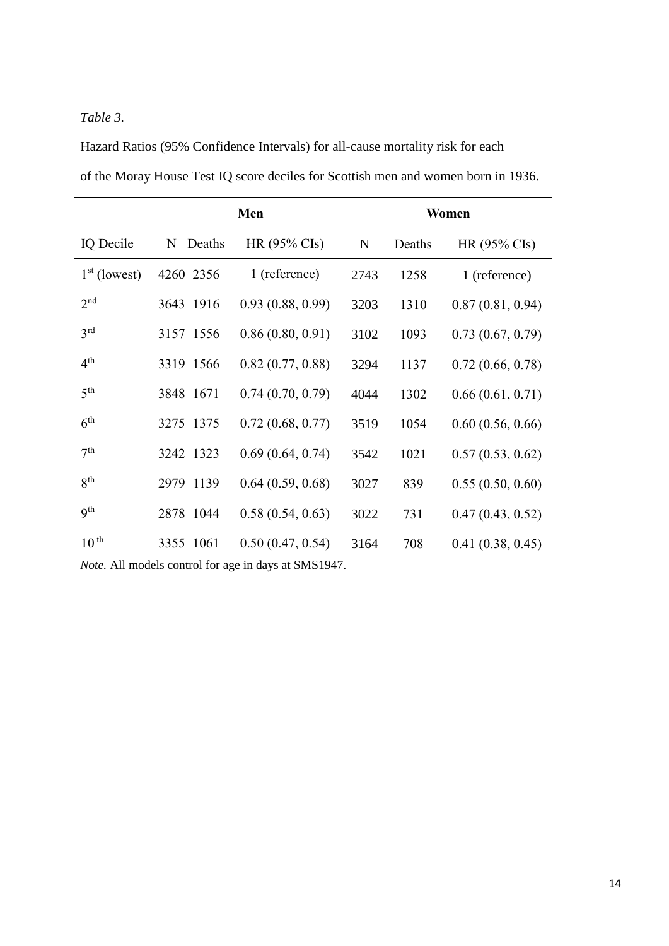# *Table 3.*

Hazard Ratios (95% Confidence Intervals) for all-cause mortality risk for each of the Moray House Test IQ score deciles for Scottish men and women born in 1936.

|                  |             | Women                  |             |        |                        |
|------------------|-------------|------------------------|-------------|--------|------------------------|
| IQ Decile        | N<br>Deaths | $HR(95\% \text{ Cls})$ | $\mathbf N$ | Deaths | $HR(95\% \text{ Cls})$ |
| $1st$ (lowest)   | 4260 2356   | 1 (reference)          | 2743        | 1258   | 1 (reference)          |
| 2 <sub>nd</sub>  | 3643 1916   | 0.93(0.88, 0.99)       | 3203        | 1310   | 0.87(0.81, 0.94)       |
| 3 <sup>rd</sup>  | 3157 1556   | 0.86(0.80, 0.91)       | 3102        | 1093   | 0.73(0.67, 0.79)       |
| 4 <sup>th</sup>  | 3319 1566   | 0.82(0.77, 0.88)       | 3294        | 1137   | 0.72(0.66, 0.78)       |
| 5 <sup>th</sup>  | 3848 1671   | 0.74(0.70, 0.79)       | 4044        | 1302   | 0.66(0.61, 0.71)       |
| 6 <sup>th</sup>  | 3275 1375   | 0.72(0.68, 0.77)       | 3519        | 1054   | 0.60(0.56, 0.66)       |
| 7 <sup>th</sup>  | 3242 1323   | 0.69(0.64, 0.74)       | 3542        | 1021   | 0.57(0.53, 0.62)       |
| $R^{th}$         | 2979 1139   | 0.64(0.59, 0.68)       | 3027        | 839    | 0.55(0.50, 0.60)       |
| <b>9th</b>       | 2878 1044   | 0.58(0.54, 0.63)       | 3022        | 731    | 0.47(0.43, 0.52)       |
| 10 <sup>th</sup> | 3355 1061   | 0.50(0.47, 0.54)       | 3164        | 708    | 0.41(0.38, 0.45)       |

*Note.* All models control for age in days at SMS1947.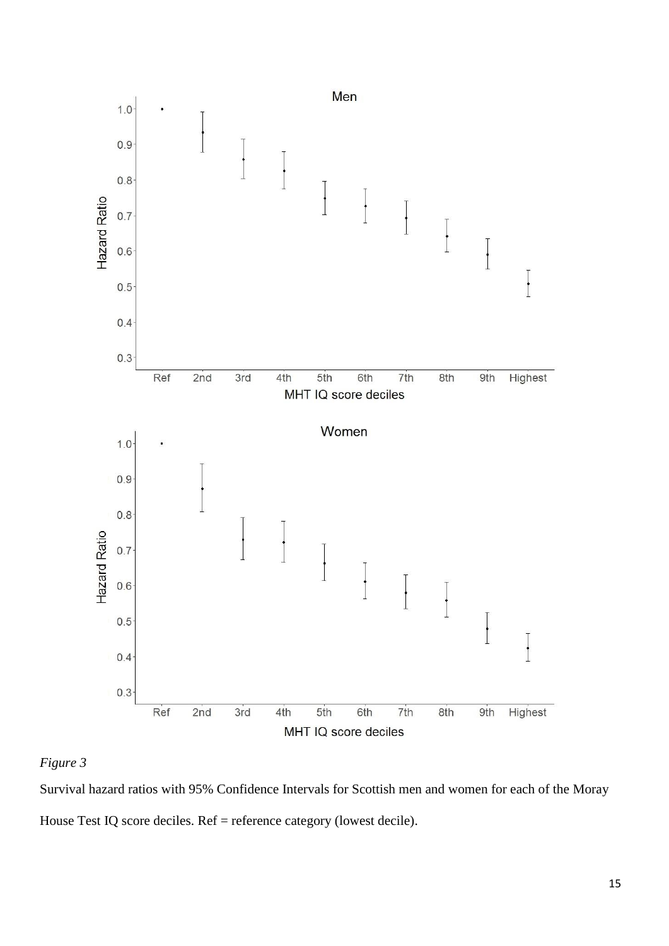

# *Figure 3*

Survival hazard ratios with 95% Confidence Intervals for Scottish men and women for each of the Moray House Test IQ score deciles. Ref = reference category (lowest decile).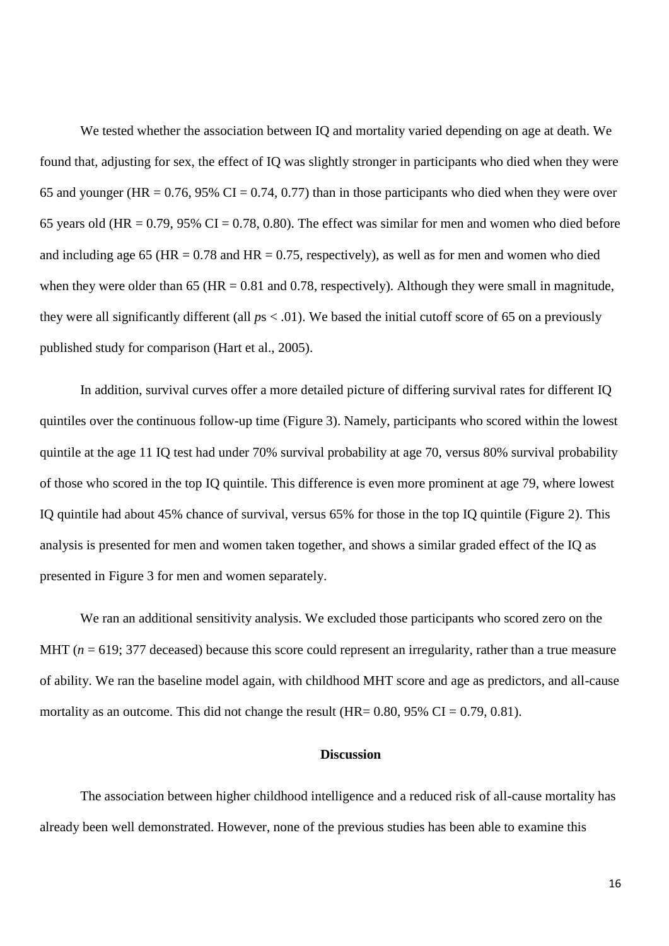We tested whether the association between IQ and mortality varied depending on age at death. We found that, adjusting for sex, the effect of IQ was slightly stronger in participants who died when they were 65 and younger (HR =  $0.76$ , 95% CI =  $0.74$ , 0.77) than in those participants who died when they were over 65 years old (HR =  $0.79$ , 95% CI =  $0.78$ , 0.80). The effect was similar for men and women who died before and including age 65 (HR =  $0.78$  and HR =  $0.75$ , respectively), as well as for men and women who died when they were older than 65 ( $HR = 0.81$  and 0.78, respectively). Although they were small in magnitude, they were all significantly different (all *p*s < .01). We based the initial cutoff score of 65 on a previously published study for comparison (Hart et al., 2005).

In addition, survival curves offer a more detailed picture of differing survival rates for different IQ quintiles over the continuous follow-up time (Figure 3). Namely, participants who scored within the lowest quintile at the age 11 IQ test had under 70% survival probability at age 70, versus 80% survival probability of those who scored in the top IQ quintile. This difference is even more prominent at age 79, where lowest IQ quintile had about 45% chance of survival, versus 65% for those in the top IQ quintile (Figure 2). This analysis is presented for men and women taken together, and shows a similar graded effect of the IQ as presented in Figure 3 for men and women separately.

We ran an additional sensitivity analysis. We excluded those participants who scored zero on the MHT ( $n = 619$ ; 377 deceased) because this score could represent an irregularity, rather than a true measure of ability. We ran the baseline model again, with childhood MHT score and age as predictors, and all-cause mortality as an outcome. This did not change the result (HR=  $0.80$ ,  $95\%$  CI =  $0.79$ ,  $0.81$ ).

#### **Discussion**

The association between higher childhood intelligence and a reduced risk of all-cause mortality has already been well demonstrated. However, none of the previous studies has been able to examine this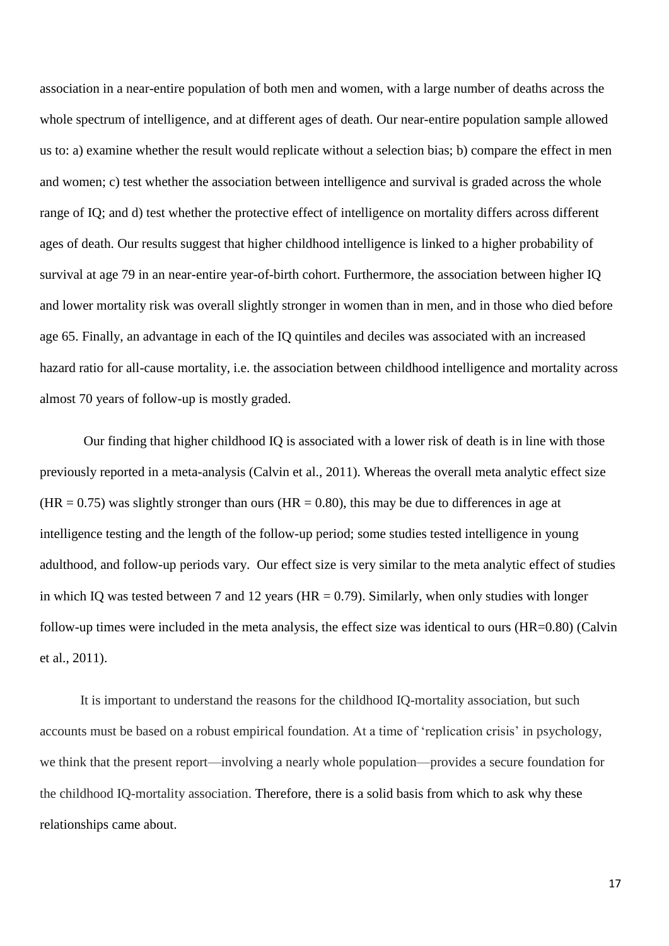association in a near-entire population of both men and women, with a large number of deaths across the whole spectrum of intelligence, and at different ages of death. Our near-entire population sample allowed us to: a) examine whether the result would replicate without a selection bias; b) compare the effect in men and women; c) test whether the association between intelligence and survival is graded across the whole range of IQ; and d) test whether the protective effect of intelligence on mortality differs across different ages of death. Our results suggest that higher childhood intelligence is linked to a higher probability of survival at age 79 in an near-entire year-of-birth cohort. Furthermore, the association between higher IQ and lower mortality risk was overall slightly stronger in women than in men, and in those who died before age 65. Finally, an advantage in each of the IQ quintiles and deciles was associated with an increased hazard ratio for all-cause mortality, i.e. the association between childhood intelligence and mortality across almost 70 years of follow-up is mostly graded.

Our finding that higher childhood IQ is associated with a lower risk of death is in line with those previously reported in a meta-analysis (Calvin et al., 2011). Whereas the overall meta analytic effect size  $(HR = 0.75)$  was slightly stronger than ours  $(HR = 0.80)$ , this may be due to differences in age at intelligence testing and the length of the follow-up period; some studies tested intelligence in young adulthood, and follow-up periods vary. Our effect size is very similar to the meta analytic effect of studies in which IQ was tested between 7 and 12 years ( $HR = 0.79$ ). Similarly, when only studies with longer follow-up times were included in the meta analysis, the effect size was identical to ours (HR=0.80) (Calvin et al., 2011).

It is important to understand the reasons for the childhood IQ-mortality association, but such accounts must be based on a robust empirical foundation. At a time of 'replication crisis' in psychology, we think that the present report—involving a nearly whole population—provides a secure foundation for the childhood IQ-mortality association. Therefore, there is a solid basis from which to ask why these relationships came about.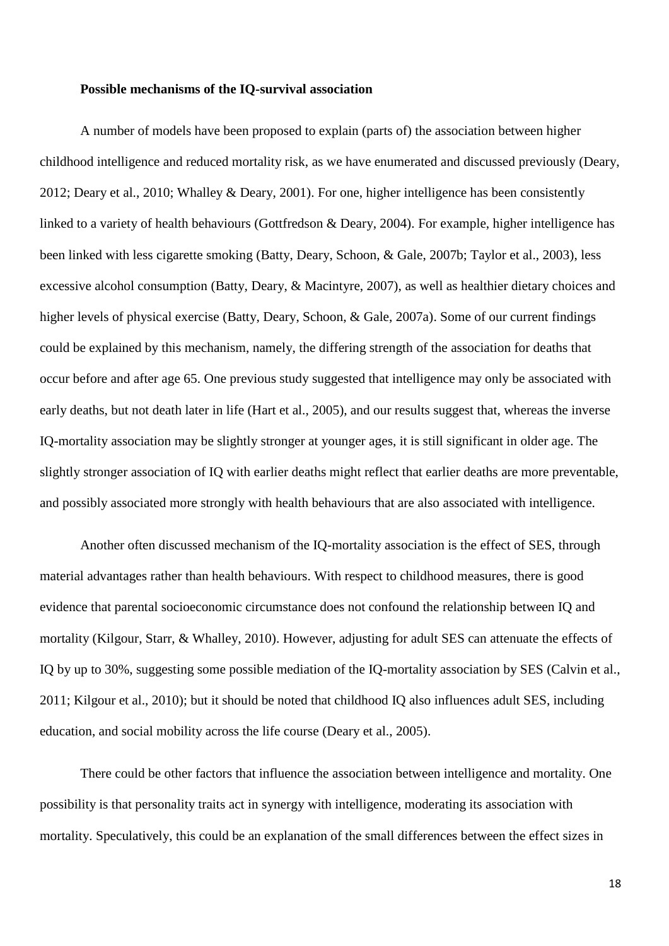#### **Possible mechanisms of the IQ-survival association**

A number of models have been proposed to explain (parts of) the association between higher childhood intelligence and reduced mortality risk, as we have enumerated and discussed previously (Deary, 2012; Deary et al., 2010; Whalley & Deary, 2001). For one, higher intelligence has been consistently linked to a variety of health behaviours (Gottfredson & Deary, 2004). For example, higher intelligence has been linked with less cigarette smoking (Batty, Deary, Schoon, & Gale, 2007b; Taylor et al., 2003), less excessive alcohol consumption (Batty, Deary, & Macintyre, 2007), as well as healthier dietary choices and higher levels of physical exercise (Batty, Deary, Schoon, & Gale, 2007a). Some of our current findings could be explained by this mechanism, namely, the differing strength of the association for deaths that occur before and after age 65. One previous study suggested that intelligence may only be associated with early deaths, but not death later in life (Hart et al., 2005), and our results suggest that, whereas the inverse IQ-mortality association may be slightly stronger at younger ages, it is still significant in older age. The slightly stronger association of IQ with earlier deaths might reflect that earlier deaths are more preventable, and possibly associated more strongly with health behaviours that are also associated with intelligence.

Another often discussed mechanism of the IQ-mortality association is the effect of SES, through material advantages rather than health behaviours. With respect to childhood measures, there is good evidence that parental socioeconomic circumstance does not confound the relationship between IQ and mortality (Kilgour, Starr, & Whalley, 2010). However, adjusting for adult SES can attenuate the effects of IQ by up to 30%, suggesting some possible mediation of the IQ-mortality association by SES (Calvin et al., 2011; Kilgour et al., 2010); but it should be noted that childhood IQ also influences adult SES, including education, and social mobility across the life course (Deary et al., 2005).

There could be other factors that influence the association between intelligence and mortality. One possibility is that personality traits act in synergy with intelligence, moderating its association with mortality. Speculatively, this could be an explanation of the small differences between the effect sizes in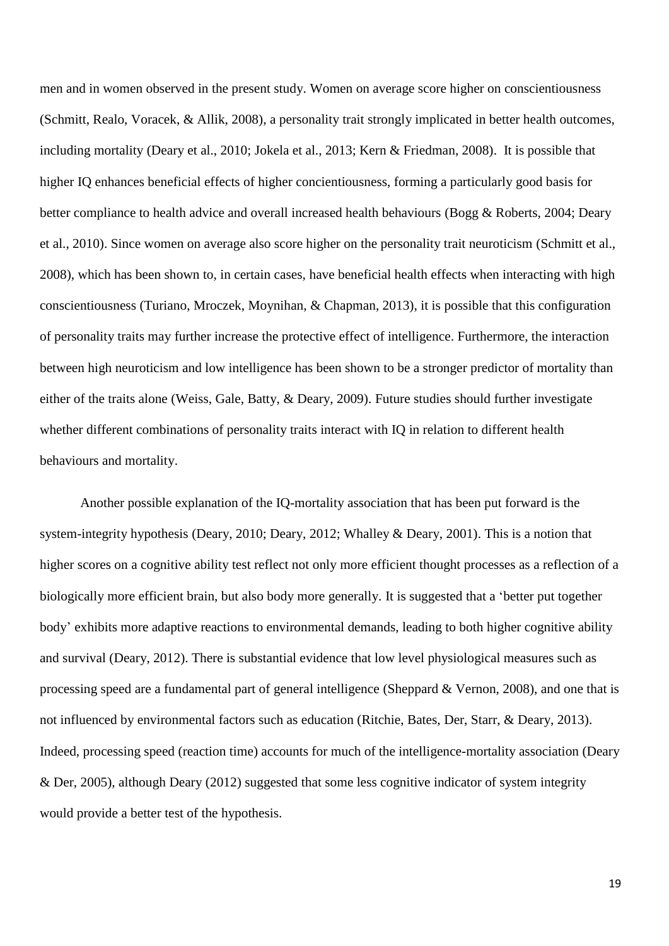men and in women observed in the present study. Women on average score higher on conscientiousness (Schmitt, Realo, Voracek, & Allik, 2008), a personality trait strongly implicated in better health outcomes, including mortality (Deary et al., 2010; Jokela et al., 2013; Kern & Friedman, 2008). It is possible that higher IQ enhances beneficial effects of higher concientiousness, forming a particularly good basis for better compliance to health advice and overall increased health behaviours (Bogg & Roberts, 2004; Deary et al., 2010). Since women on average also score higher on the personality trait neuroticism (Schmitt et al., 2008), which has been shown to, in certain cases, have beneficial health effects when interacting with high conscientiousness (Turiano, Mroczek, Moynihan, & Chapman, 2013), it is possible that this configuration of personality traits may further increase the protective effect of intelligence. Furthermore, the interaction between high neuroticism and low intelligence has been shown to be a stronger predictor of mortality than either of the traits alone (Weiss, Gale, Batty, & Deary, 2009). Future studies should further investigate whether different combinations of personality traits interact with IQ in relation to different health behaviours and mortality.

Another possible explanation of the IQ-mortality association that has been put forward is the system-integrity hypothesis (Deary, 2010; Deary, 2012; Whalley & Deary, 2001). This is a notion that higher scores on a cognitive ability test reflect not only more efficient thought processes as a reflection of a biologically more efficient brain, but also body more generally. It is suggested that a 'better put together body' exhibits more adaptive reactions to environmental demands, leading to both higher cognitive ability and survival (Deary, 2012). There is substantial evidence that low level physiological measures such as processing speed are a fundamental part of general intelligence (Sheppard & Vernon, 2008), and one that is not influenced by environmental factors such as education (Ritchie, Bates, Der, Starr, & Deary, 2013). Indeed, processing speed (reaction time) accounts for much of the intelligence-mortality association (Deary & Der, 2005), although Deary (2012) suggested that some less cognitive indicator of system integrity would provide a better test of the hypothesis.

19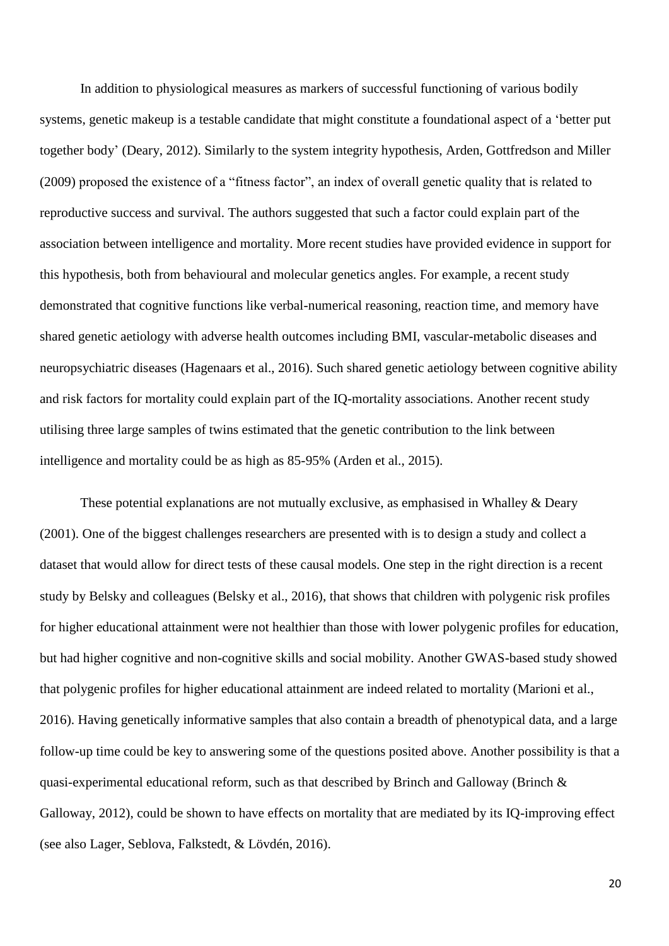In addition to physiological measures as markers of successful functioning of various bodily systems, genetic makeup is a testable candidate that might constitute a foundational aspect of a 'better put together body' (Deary, 2012). Similarly to the system integrity hypothesis, Arden, Gottfredson and Miller (2009) proposed the existence of a "fitness factor", an index of overall genetic quality that is related to reproductive success and survival. The authors suggested that such a factor could explain part of the association between intelligence and mortality. More recent studies have provided evidence in support for this hypothesis, both from behavioural and molecular genetics angles. For example, a recent study demonstrated that cognitive functions like verbal-numerical reasoning, reaction time, and memory have shared genetic aetiology with adverse health outcomes including BMI, vascular-metabolic diseases and neuropsychiatric diseases (Hagenaars et al., 2016). Such shared genetic aetiology between cognitive ability and risk factors for mortality could explain part of the IQ-mortality associations. Another recent study utilising three large samples of twins estimated that the genetic contribution to the link between intelligence and mortality could be as high as 85-95% (Arden et al., 2015).

These potential explanations are not mutually exclusive, as emphasised in Whalley & Deary (2001). One of the biggest challenges researchers are presented with is to design a study and collect a dataset that would allow for direct tests of these causal models. One step in the right direction is a recent study by Belsky and colleagues (Belsky et al., 2016), that shows that children with polygenic risk profiles for higher educational attainment were not healthier than those with lower polygenic profiles for education, but had higher cognitive and non-cognitive skills and social mobility. Another GWAS-based study showed that polygenic profiles for higher educational attainment are indeed related to mortality (Marioni et al., 2016). Having genetically informative samples that also contain a breadth of phenotypical data, and a large follow-up time could be key to answering some of the questions posited above. Another possibility is that a quasi-experimental educational reform, such as that described by Brinch and Galloway (Brinch  $\&$ Galloway, 2012), could be shown to have effects on mortality that are mediated by its IQ-improving effect (see also Lager, Seblova, Falkstedt, & Lövdén, 2016).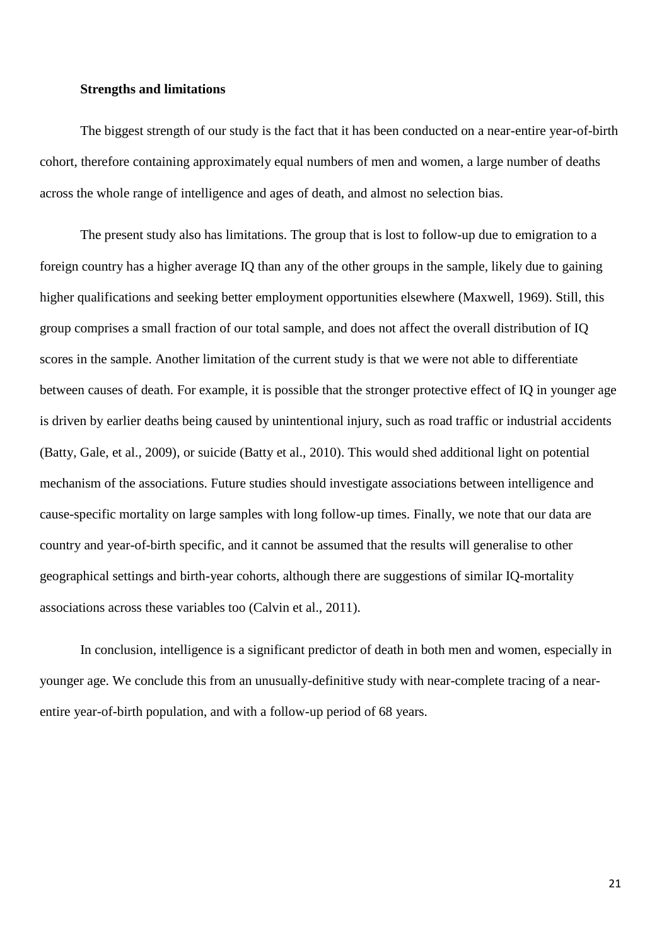#### **Strengths and limitations**

The biggest strength of our study is the fact that it has been conducted on a near-entire year-of-birth cohort, therefore containing approximately equal numbers of men and women, a large number of deaths across the whole range of intelligence and ages of death, and almost no selection bias.

The present study also has limitations. The group that is lost to follow-up due to emigration to a foreign country has a higher average IQ than any of the other groups in the sample, likely due to gaining higher qualifications and seeking better employment opportunities elsewhere (Maxwell, 1969). Still, this group comprises a small fraction of our total sample, and does not affect the overall distribution of IQ scores in the sample. Another limitation of the current study is that we were not able to differentiate between causes of death. For example, it is possible that the stronger protective effect of IQ in younger age is driven by earlier deaths being caused by unintentional injury, such as road traffic or industrial accidents (Batty, Gale, et al., 2009), or suicide (Batty et al., 2010). This would shed additional light on potential mechanism of the associations. Future studies should investigate associations between intelligence and cause-specific mortality on large samples with long follow-up times. Finally, we note that our data are country and year-of-birth specific, and it cannot be assumed that the results will generalise to other geographical settings and birth-year cohorts, although there are suggestions of similar IQ-mortality associations across these variables too (Calvin et al., 2011).

In conclusion, intelligence is a significant predictor of death in both men and women, especially in younger age. We conclude this from an unusually-definitive study with near-complete tracing of a nearentire year-of-birth population, and with a follow-up period of 68 years.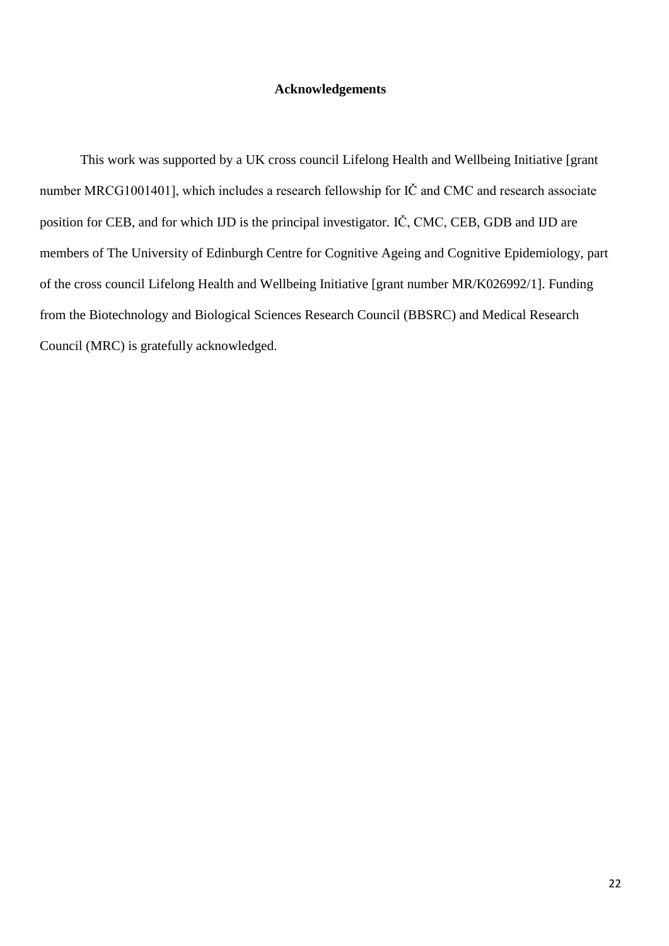## **Acknowledgements**

This work was supported by a UK cross council Lifelong Health and Wellbeing Initiative [grant number MRCG1001401], which includes a research fellowship for IČ and CMC and research associate position for CEB, and for which IJD is the principal investigator. IČ, CMC, CEB, GDB and IJD are members of The University of Edinburgh Centre for Cognitive Ageing and Cognitive Epidemiology, part of the cross council Lifelong Health and Wellbeing Initiative [grant number MR/K026992/1]. Funding from the Biotechnology and Biological Sciences Research Council (BBSRC) and Medical Research Council (MRC) is gratefully acknowledged.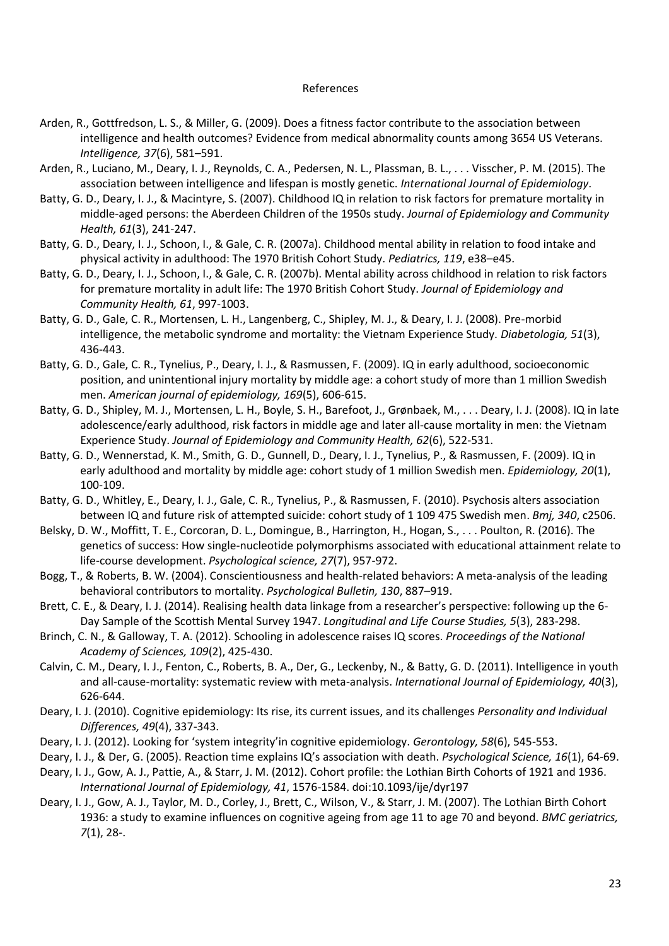#### References

- Arden, R., Gottfredson, L. S., & Miller, G. (2009). Does a fitness factor contribute to the association between intelligence and health outcomes? Evidence from medical abnormality counts among 3654 US Veterans. *Intelligence, 37*(6), 581–591.
- Arden, R., Luciano, M., Deary, I. J., Reynolds, C. A., Pedersen, N. L., Plassman, B. L., . . . Visscher, P. M. (2015). The association between intelligence and lifespan is mostly genetic. *International Journal of Epidemiology*.
- Batty, G. D., Deary, I. J., & Macintyre, S. (2007). Childhood IQ in relation to risk factors for premature mortality in middle-aged persons: the Aberdeen Children of the 1950s study. *Journal of Epidemiology and Community Health, 61*(3), 241-247.
- Batty, G. D., Deary, I. J., Schoon, I., & Gale, C. R. (2007a). Childhood mental ability in relation to food intake and physical activity in adulthood: The 1970 British Cohort Study. *Pediatrics, 119*, e38–e45.
- Batty, G. D., Deary, I. J., Schoon, I., & Gale, C. R. (2007b). Mental ability across childhood in relation to risk factors for premature mortality in adult life: The 1970 British Cohort Study. *Journal of Epidemiology and Community Health, 61*, 997-1003.
- Batty, G. D., Gale, C. R., Mortensen, L. H., Langenberg, C., Shipley, M. J., & Deary, I. J. (2008). Pre-morbid intelligence, the metabolic syndrome and mortality: the Vietnam Experience Study. *Diabetologia, 51*(3), 436-443.
- Batty, G. D., Gale, C. R., Tynelius, P., Deary, I. J., & Rasmussen, F. (2009). IQ in early adulthood, socioeconomic position, and unintentional injury mortality by middle age: a cohort study of more than 1 million Swedish men. *American journal of epidemiology, 169*(5), 606-615.
- Batty, G. D., Shipley, M. J., Mortensen, L. H., Boyle, S. H., Barefoot, J., Grønbaek, M., . . . Deary, I. J. (2008). IQ in late adolescence/early adulthood, risk factors in middle age and later all-cause mortality in men: the Vietnam Experience Study. *Journal of Epidemiology and Community Health, 62*(6), 522-531.
- Batty, G. D., Wennerstad, K. M., Smith, G. D., Gunnell, D., Deary, I. J., Tynelius, P., & Rasmussen, F. (2009). IQ in early adulthood and mortality by middle age: cohort study of 1 million Swedish men. *Epidemiology, 20*(1), 100-109.
- Batty, G. D., Whitley, E., Deary, I. J., Gale, C. R., Tynelius, P., & Rasmussen, F. (2010). Psychosis alters association between IQ and future risk of attempted suicide: cohort study of 1 109 475 Swedish men. *Bmj, 340*, c2506.
- Belsky, D. W., Moffitt, T. E., Corcoran, D. L., Domingue, B., Harrington, H., Hogan, S., . . . Poulton, R. (2016). The genetics of success: How single-nucleotide polymorphisms associated with educational attainment relate to life-course development. *Psychological science, 27*(7), 957-972.
- Bogg, T., & Roberts, B. W. (2004). Conscientiousness and health-related behaviors: A meta-analysis of the leading behavioral contributors to mortality. *Psychological Bulletin, 130*, 887–919.
- Brett, C. E., & Deary, I. J. (2014). Realising health data linkage from a researcher's perspective: following up the 6- Day Sample of the Scottish Mental Survey 1947. *Longitudinal and Life Course Studies, 5*(3), 283-298.
- Brinch, C. N., & Galloway, T. A. (2012). Schooling in adolescence raises IQ scores. *Proceedings of the National Academy of Sciences, 109*(2), 425-430.
- Calvin, C. M., Deary, I. J., Fenton, C., Roberts, B. A., Der, G., Leckenby, N., & Batty, G. D. (2011). Intelligence in youth and all-cause-mortality: systematic review with meta-analysis. *International Journal of Epidemiology, 40*(3), 626-644.
- Deary, I. J. (2010). Cognitive epidemiology: Its rise, its current issues, and its challenges *Personality and Individual Differences, 49*(4), 337-343.
- Deary, I. J. (2012). Looking for 'system integrity'in cognitive epidemiology. *Gerontology, 58*(6), 545-553.
- Deary, I. J., & Der, G. (2005). Reaction time explains IQ's association with death. *Psychological Science, 16*(1), 64-69.
- Deary, I. J., Gow, A. J., Pattie, A., & Starr, J. M. (2012). Cohort profile: the Lothian Birth Cohorts of 1921 and 1936. *International Journal of Epidemiology, 41*, 1576-1584. doi:10.1093/ije/dyr197
- Deary, I. J., Gow, A. J., Taylor, M. D., Corley, J., Brett, C., Wilson, V., & Starr, J. M. (2007). The Lothian Birth Cohort 1936: a study to examine influences on cognitive ageing from age 11 to age 70 and beyond. *BMC geriatrics, 7*(1), 28-.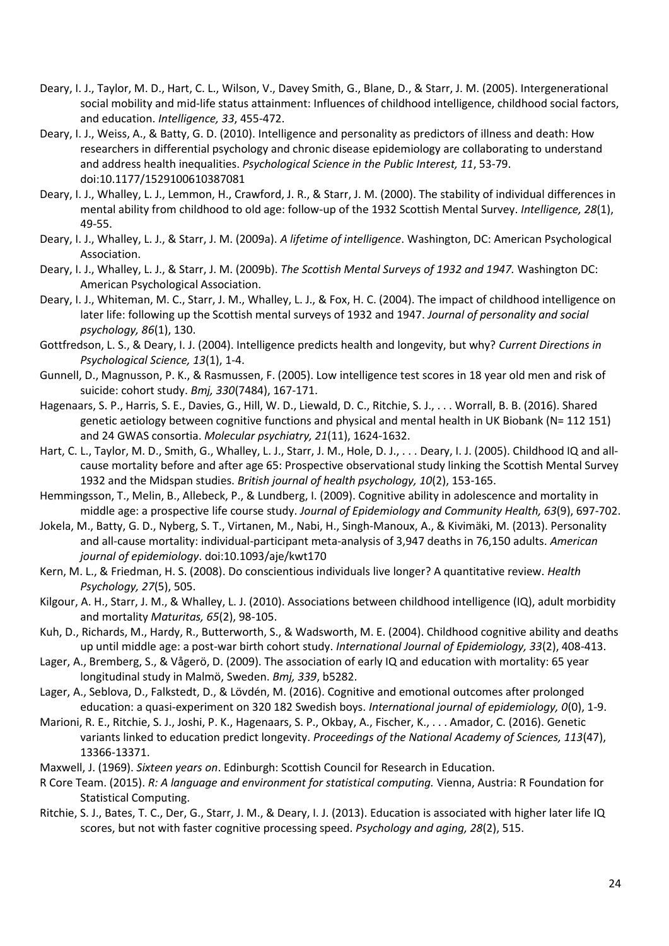- Deary, I. J., Taylor, M. D., Hart, C. L., Wilson, V., Davey Smith, G., Blane, D., & Starr, J. M. (2005). Intergenerational social mobility and mid-life status attainment: Influences of childhood intelligence, childhood social factors, and education. *Intelligence, 33*, 455-472.
- Deary, I. J., Weiss, A., & Batty, G. D. (2010). Intelligence and personality as predictors of illness and death: How researchers in differential psychology and chronic disease epidemiology are collaborating to understand and address health inequalities. *Psychological Science in the Public Interest, 11*, 53-79. doi:10.1177/1529100610387081
- Deary, I. J., Whalley, L. J., Lemmon, H., Crawford, J. R., & Starr, J. M. (2000). The stability of individual differences in mental ability from childhood to old age: follow-up of the 1932 Scottish Mental Survey. *Intelligence, 28*(1), 49-55.
- Deary, I. J., Whalley, L. J., & Starr, J. M. (2009a). *A lifetime of intelligence*. Washington, DC: American Psychological Association.
- Deary, I. J., Whalley, L. J., & Starr, J. M. (2009b). *The Scottish Mental Surveys of 1932 and 1947.* Washington DC: American Psychological Association.
- Deary, I. J., Whiteman, M. C., Starr, J. M., Whalley, L. J., & Fox, H. C. (2004). The impact of childhood intelligence on later life: following up the Scottish mental surveys of 1932 and 1947. *Journal of personality and social psychology, 86*(1), 130.
- Gottfredson, L. S., & Deary, I. J. (2004). Intelligence predicts health and longevity, but why? *Current Directions in Psychological Science, 13*(1), 1-4.
- Gunnell, D., Magnusson, P. K., & Rasmussen, F. (2005). Low intelligence test scores in 18 year old men and risk of suicide: cohort study. *Bmj, 330*(7484), 167-171.
- Hagenaars, S. P., Harris, S. E., Davies, G., Hill, W. D., Liewald, D. C., Ritchie, S. J., . . . Worrall, B. B. (2016). Shared genetic aetiology between cognitive functions and physical and mental health in UK Biobank (N= 112 151) and 24 GWAS consortia. *Molecular psychiatry, 21*(11), 1624-1632.
- Hart, C. L., Taylor, M. D., Smith, G., Whalley, L. J., Starr, J. M., Hole, D. J., . . . Deary, I. J. (2005). Childhood IQ and allcause mortality before and after age 65: Prospective observational study linking the Scottish Mental Survey 1932 and the Midspan studies. *British journal of health psychology, 10*(2), 153-165.
- Hemmingsson, T., Melin, B., Allebeck, P., & Lundberg, I. (2009). Cognitive ability in adolescence and mortality in middle age: a prospective life course study. *Journal of Epidemiology and Community Health, 63*(9), 697-702.
- Jokela, M., Batty, G. D., Nyberg, S. T., Virtanen, M., Nabi, H., Singh-Manoux, A., & Kivimäki, M. (2013). Personality and all-cause mortality: individual-participant meta-analysis of 3,947 deaths in 76,150 adults. *American journal of epidemiology*. doi:10.1093/aje/kwt170
- Kern, M. L., & Friedman, H. S. (2008). Do conscientious individuals live longer? A quantitative review. *Health Psychology, 27*(5), 505.
- Kilgour, A. H., Starr, J. M., & Whalley, L. J. (2010). Associations between childhood intelligence (IQ), adult morbidity and mortality *Maturitas, 65*(2), 98-105.
- Kuh, D., Richards, M., Hardy, R., Butterworth, S., & Wadsworth, M. E. (2004). Childhood cognitive ability and deaths up until middle age: a post-war birth cohort study. *International Journal of Epidemiology, 33*(2), 408-413.
- Lager, A., Bremberg, S., & Vågerö, D. (2009). The association of early IQ and education with mortality: 65 year longitudinal study in Malmö, Sweden. *Bmj, 339*, b5282.
- Lager, A., Seblova, D., Falkstedt, D., & Lövdén, M. (2016). Cognitive and emotional outcomes after prolonged education: a quasi-experiment on 320 182 Swedish boys. *International journal of epidemiology, 0*(0), 1-9.
- Marioni, R. E., Ritchie, S. J., Joshi, P. K., Hagenaars, S. P., Okbay, A., Fischer, K., . . . Amador, C. (2016). Genetic variants linked to education predict longevity. *Proceedings of the National Academy of Sciences, 113*(47), 13366-13371.
- Maxwell, J. (1969). *Sixteen years on*. Edinburgh: Scottish Council for Research in Education.
- R Core Team. (2015). *R: A language and environment for statistical computing.* Vienna, Austria: R Foundation for Statistical Computing.
- Ritchie, S. J., Bates, T. C., Der, G., Starr, J. M., & Deary, I. J. (2013). Education is associated with higher later life IQ scores, but not with faster cognitive processing speed. *Psychology and aging, 28*(2), 515.